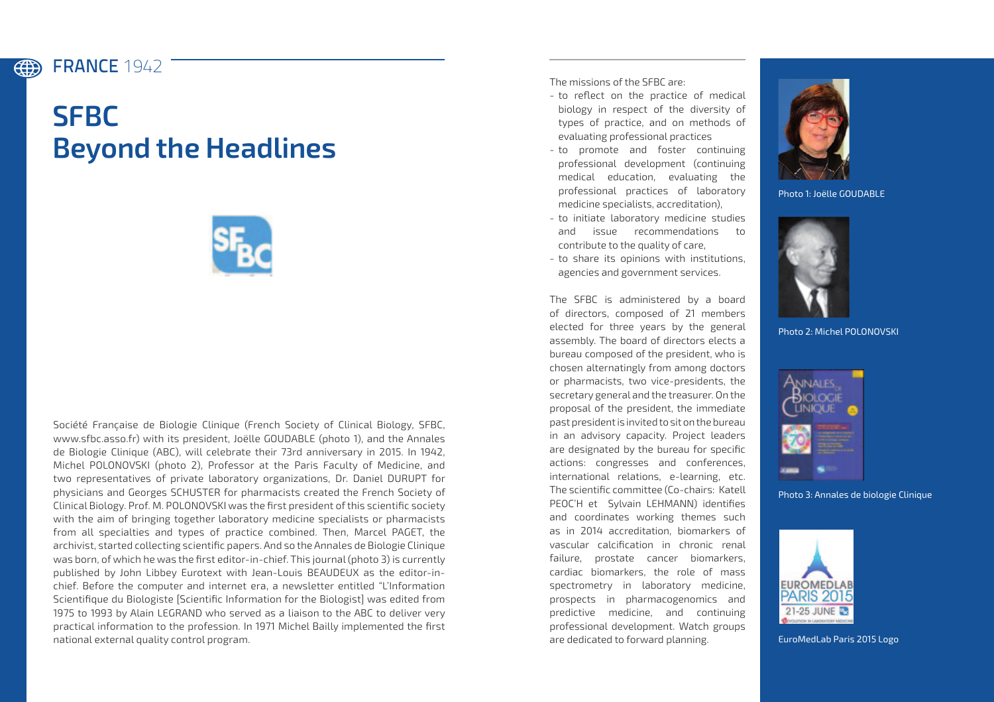## FRANCE **1942** (#)

## **SFBC Beyond the Headlines**



Société Française de Biologie Clinique (French Society of Clinical Biology, SFBC, www.sfbc.asso.fr) with its president, Joëlle GOUDABLE (photo 1), and the Annales de Biologie Clinique (ABC), will celebrate their 73rd anniversary in 2015. In 1942, Michel POLONOVSKI (photo 2), Professor at the Paris Faculty of Medicine, and two representatives of private laboratory organizations, Dr. Daniel DURUPT for physicians and Georges SCHUSTER for pharmacists created the French Society of Clinical Biology. Prof. M. POLONOVSKI was the first president of this scientific society with the aim of bringing together laboratory medicine specialists or pharmacists from all specialties and types of practice combined. Then, Marcel PAGET, the archivist, started collecting scientific papers. And so the Annales de Biologie Clinique was born, of which he was the first editor-in-chief. This journal (photo 3) is currently published by John Libbey Eurotext with Jean-Louis BEAUDEUX as the editor-inchief. Before the computer and internet era, a newsletter entitled "L'Information Scientifique du Biologiste [Scientific Information for the Biologist] was edited from 1975 to 1993 by Alain LEGRAND who served as a liaison to the ABC to deliver very practical information to the profession. In 1971 Michel Bailly implemented the first national external quality control program.

The missions of the SFBC are:

- to reflect on the practice of medical biology in respect of the diversity of types of practice, and on methods of evaluating professional practices
- to promote and foster continuing professional development (continuing medical education, evaluating the professional practices of laboratory medicine specialists, accreditation),
- to initiate laboratory medicine studies and issue recommendations to contribute to the quality of care,
- to share its opinions with institutions, agencies and government services.

The SFBC is administered by a board of directors, composed of 21 members elected for three years by the general assembly. The board of directors elects a bureau composed of the president, who is chosen alternatingly from among doctors or pharmacists, two vice-presidents, the secretary general and the treasurer. On the proposal of the president, the immediate past president is invited to sit on the bureau in an advisory capacity. Project leaders are designated by the bureau for specific actions: congresses and conferences, international relations, e-learning, etc. The scientific committee (Co-chairs: Katell PEOC'H et Sylvain LEHMANN) identifies and coordinates working themes such as in 2014 accreditation, biomarkers of vascular calcification in chronic renal failure, prostate cancer biomarkers, cardiac biomarkers, the role of mass spectrometry in laboratory medicine, prospects in pharmacogenomics and predictive medicine, and continuing professional development. Watch groups are dedicated to forward planning.



Photo 1: Joëlle GOUDABLE



Photo 2: Michel POLONOVSKI



Photo 3: Annales de biologie Clinique



EuroMedLab Paris 2015 Logo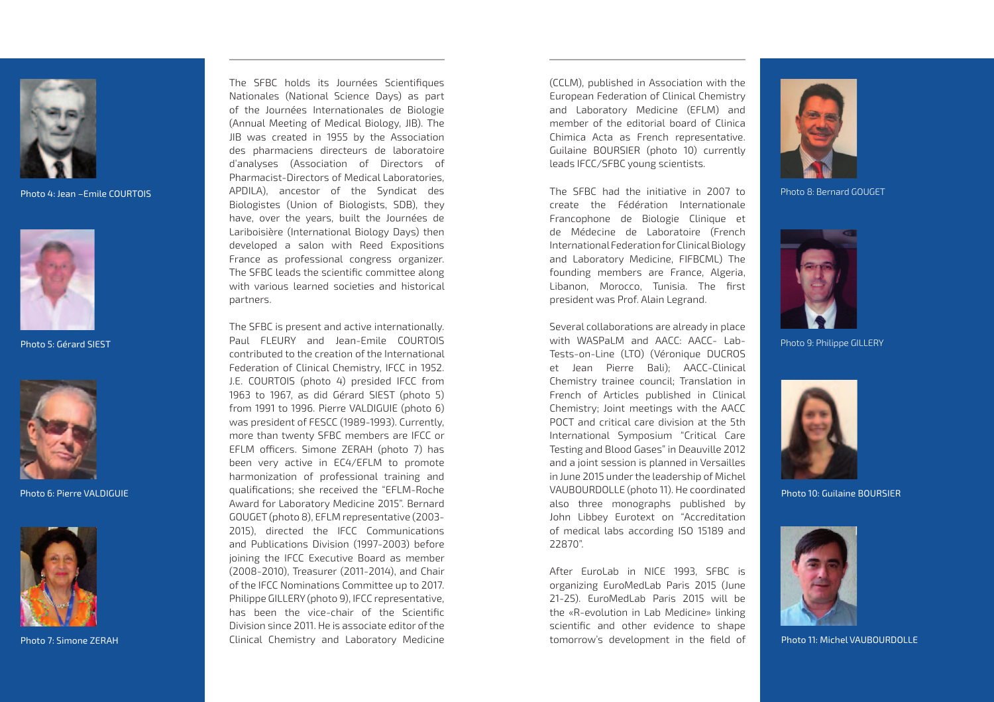

Photo 4: Jean –Emile COURTOIS



Photo 5: Gérard SIEST



Photo 6: Pierre VALDIGUIE



Photo 7: Simone ZERAH

The SFBC holds its Journées Scientifiques Nationales (National Science Days) as part of the Journées Internationales de Biologie (Annual Meeting of Medical Biology, JIB). The JIB was created in 1955 by the Association des pharmaciens directeurs de laboratoire d'analyses (Association of Directors of Pharmacist-Directors of Medical Laboratories, APDILA), ancestor of the Syndicat des Biologistes (Union of Biologists, SDB), they have, over the years, built the Journées de Lariboisière (International Biology Days) then developed a salon with Reed Expositions France as professional congress organizer. The SFBC leads the scientific committee along with various learned societies and historical partners.

The SFBC is present and active internationally. Paul FLEURY and Jean-Emile COURTOIS contributed to the creation of the International Federation of Clinical Chemistry, IFCC in 1952. J.E. COURTOIS (photo 4) presided IFCC from 1963 to 1967, as did Gérard SIEST (photo 5) from 1991 to 1996. Pierre VALDIGUIE (photo 6) was president of FESCC (1989-1993). Currently, more than twenty SFBC members are IFCC or EFLM officers. Simone ZERAH (photo 7) has been very active in EC4/EFLM to promote harmonization of professional training and qualifications; she received the "EFLM-Roche Award for Laboratory Medicine 2015". Bernard GOUGET (photo 8), EFLM representative (2003- 2015), directed the IFCC Communications and Publications Division (1997-2003) before joining the IFCC Executive Board as member (2008-2010), Treasurer (2011-2014), and Chair of the IFCC Nominations Committee up to 2017. Philippe GILLERY (photo 9), IFCC representative, has been the vice-chair of the Scientific Division since 2011. He is associate editor of the Clinical Chemistry and Laboratory Medicine

(CCLM), published in Association with the European Federation of Clinical Chemistry and Laboratory Medicine (EFLM) and member of the editorial board of Clinica Chimica Acta as French representative. Guilaine BOURSIER (photo 10) currently leads IFCC/SFBC young scientists.

The SFBC had the initiative in 2007 to create the Fédération Internationale Francophone de Biologie Clinique et de Médecine de Laboratoire (French International Federation for Clinical Biology and Laboratory Medicine, FIFBCML) The founding members are France, Algeria, Libanon, Morocco, Tunisia. The first president was Prof. Alain Legrand.

Several collaborations are already in place with WASPaLM and AACC: AACC- Lab-Tests-on-Line (LTO) (Véronique DUCROS et Jean Pierre Bali); AACC-Clinical Chemistry trainee council; Translation in French of Articles published in Clinical Chemistry; Joint meetings with the AACC POCT and critical care division at the 5th International Symposium "Critical Care Testing and Blood Gases" in Deauville 2012 and a joint session is planned in Versailles in June 2015 under the leadership of Michel VAUBOURDOLLE (photo 11). He coordinated also three monographs published by John Libbey Eurotext on "Accreditation of medical labs according ISO 15189 and 22870".

After EuroLab in NICE 1993, SFBC is organizing EuroMedLab Paris 2015 (June 21-25). EuroMedLab Paris 2015 will be the «R-evolution in Lab Medicine» linking scientific and other evidence to shape tomorrow's development in the field of



Photo 8: Bernard GOUGET



Photo 9: Philippe GILLERY



Photo 10: Guilaine Boursier



Photo 11: Michel VAUBOURDOLLE